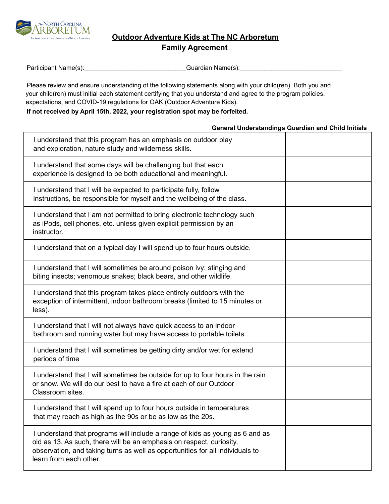

**Outdoor Adventure Kids at The NC Arboretum**

**Family Agreement**

| Participant Name(s): | Guardian Name(s): |  |
|----------------------|-------------------|--|
|                      |                   |  |

Please review and ensure understanding of the following statements along with your child(ren). Both you and your child(ren) must initial each statement certifying that you understand and agree to the program policies, expectations, and COVID-19 regulations for OAK (Outdoor Adventure Kids).

## **If not received by April 15th, 2022, your registration spot may be forfeited.**

## **General Understandings Guardian and Child Initials** I understand that this program has an emphasis on outdoor play and exploration, nature study and wilderness skills. I understand that some days will be challenging but that each experience is designed to be both educational and meaningful. I understand that I will be expected to participate fully, follow instructions, be responsible for myself and the wellbeing of the class. I understand that I am not permitted to bring electronic technology such as iPods, cell phones, etc. unless given explicit permission by an instructor. I understand that on a typical day I will spend up to four hours outside. I understand that I will sometimes be around poison ivy; stinging and biting insects; venomous snakes; black bears, and other wildlife. I understand that this program takes place entirely outdoors with the exception of intermittent, indoor bathroom breaks (limited to 15 minutes or less). I understand that I will not always have quick access to an indoor bathroom and running water but may have access to portable toilets. I understand that I will sometimes be getting dirty and/or wet for extend periods of time I understand that I will sometimes be outside for up to four hours in the rain or snow. We will do our best to have a fire at each of our Outdoor Classroom sites. I understand that I will spend up to four hours outside in temperatures that may reach as high as the 90s or be as low as the 20s. I understand that programs will include a range of kids as young as 6 and as old as 13. As such, there will be an emphasis on respect, curiosity, observation, and taking turns as well as opportunities for all individuals to learn from each other.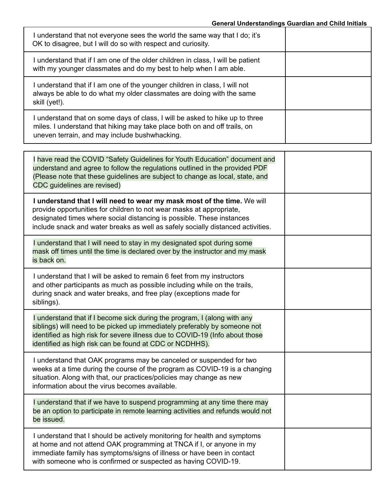## **General Understandings Guardian and Child Initials**

| understand that not everyone sees the world the same way that I do; it's<br>OK to disagree, but I will do so with respect and curiosity.                                                                 |  |
|----------------------------------------------------------------------------------------------------------------------------------------------------------------------------------------------------------|--|
| I understand that if I am one of the older children in class, I will be patient<br>with my younger classmates and do my best to help when I am able.                                                     |  |
| I understand that if I am one of the younger children in class, I will not<br>always be able to do what my older classmates are doing with the same<br>skill (yet!).                                     |  |
| understand that on some days of class, I will be asked to hike up to three<br>miles. I understand that hiking may take place both on and off trails, on<br>uneven terrain, and may include bushwhacking. |  |

Е

| I have read the COVID "Safety Guidelines for Youth Education" document and<br>understand and agree to follow the regulations outlined in the provided PDF<br>(Please note that these guidelines are subject to change as local, state, and<br>CDC guidelines are revised)                                   |  |
|-------------------------------------------------------------------------------------------------------------------------------------------------------------------------------------------------------------------------------------------------------------------------------------------------------------|--|
| I understand that I will need to wear my mask most of the time. We will<br>provide opportunities for children to not wear masks at appropriate,<br>designated times where social distancing is possible. These instances<br>include snack and water breaks as well as safely socially distanced activities. |  |
| I understand that I will need to stay in my designated spot during some<br>mask off times until the time is declared over by the instructor and my mask<br>is back on.                                                                                                                                      |  |
| I understand that I will be asked to remain 6 feet from my instructors<br>and other participants as much as possible including while on the trails,<br>during snack and water breaks, and free play (exceptions made for<br>siblings).                                                                      |  |
| I understand that if I become sick during the program, I (along with any<br>siblings) will need to be picked up immediately preferably by someone not<br>identified as high risk for severe illness due to COVID-19 (Info about those<br>identified as high risk can be found at CDC or NCDHHS).            |  |
| I understand that OAK programs may be canceled or suspended for two<br>weeks at a time during the course of the program as COVID-19 is a changing<br>situation. Along with that, our practices/policies may change as new<br>information about the virus becomes available.                                 |  |
| I understand that if we have to suspend programming at any time there may<br>be an option to participate in remote learning activities and refunds would not<br>be issued.                                                                                                                                  |  |
| I understand that I should be actively monitoring for health and symptoms<br>at home and not attend OAK programming at TNCA if I, or anyone in my<br>immediate family has symptoms/signs of illness or have been in contact<br>with someone who is confirmed or suspected as having COVID-19.               |  |